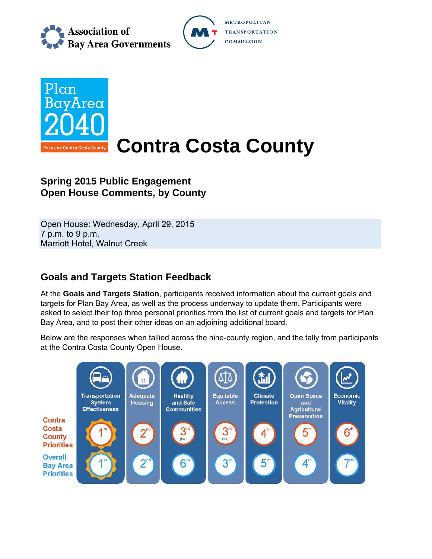





# **Spring 2015 Public Engagement Open House Comments, by County**

Open House: Wednesday, April 29, 2015 7 p.m. to 9 p.m. Marriott Hotel, Walnut Creek

# **Goals and Targets Station Feedback**

At the **Goals and Targets Station**, participants received information about the current goals and targets for Plan Bay Area, as well as the process underway to update them. Participants were asked to select their top three personal priorities from the list of current goals and targets for Plan Bay Area, and to post their other ideas on an adjoining additional board.

Below are the responses when tallied across the nine-county region, and the tally from participants at the Contra Costa County Open House.

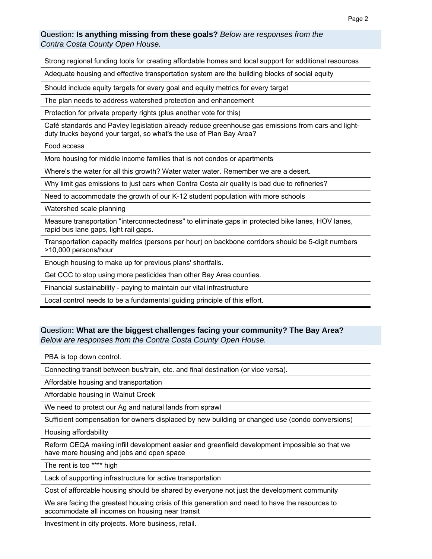### Question**: Is anything missing from these goals?** *Below are responses from the Contra Costa County Open House.*

Strong regional funding tools for creating affordable homes and local support for additional resources

Adequate housing and effective transportation system are the building blocks of social equity

Should include equity targets for every goal and equity metrics for every target

The plan needs to address watershed protection and enhancement

Protection for private property rights (plus another vote for this)

Café standards and Pavley legislation already reduce greenhouse gas emissions from cars and lightduty trucks beyond your target, so what's the use of Plan Bay Area?

Food access

More housing for middle income families that is not condos or apartments

Where's the water for all this growth? Water water water. Remember we are a desert.

Why limit gas emissions to just cars when Contra Costa air quality is bad due to refineries?

Need to accommodate the growth of our K-12 student population with more schools

Watershed scale planning

Measure transportation "interconnectedness" to eliminate gaps in protected bike lanes, HOV lanes, rapid bus lane gaps, light rail gaps.

Transportation capacity metrics (persons per hour) on backbone corridors should be 5-digit numbers >10,000 persons/hour

Enough housing to make up for previous plans' shortfalls.

Get CCC to stop using more pesticides than other Bay Area counties.

Financial sustainability - paying to maintain our vital infrastructure

Local control needs to be a fundamental guiding principle of this effort.

### Question**: What are the biggest challenges facing your community? The Bay Area?**  *Below are responses from the Contra Costa County Open House.*

PBA is top down control.

Connecting transit between bus/train, etc. and final destination (or vice versa).

Affordable housing and transportation

Affordable housing in Walnut Creek

We need to protect our Ag and natural lands from sprawl

Sufficient compensation for owners displaced by new building or changed use (condo conversions)

Housing affordability

Reform CEQA making infill development easier and greenfield development impossible so that we have more housing and jobs and open space

The rent is too \*\*\*\* high

Lack of supporting infrastructure for active transportation

Cost of affordable housing should be shared by everyone not just the development community

We are facing the greatest housing crisis of this generation and need to have the resources to accommodate all incomes on housing near transit

Investment in city projects. More business, retail.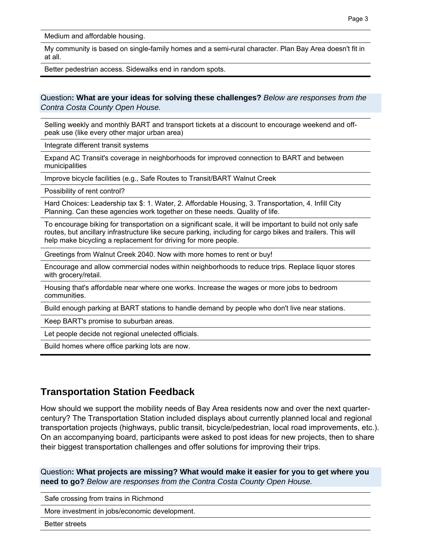Medium and affordable housing.

My community is based on single-family homes and a semi-rural character. Plan Bay Area doesn't fit in at all.

Better pedestrian access. Sidewalks end in random spots.

Question**: What are your ideas for solving these challenges?** *Below are responses from the Contra Costa County Open House.* 

Selling weekly and monthly BART and transport tickets at a discount to encourage weekend and offpeak use (like every other major urban area)

Integrate different transit systems

Expand AC Transit's coverage in neighborhoods for improved connection to BART and between municipalities

Improve bicycle facilities (e.g., Safe Routes to Transit/BART Walnut Creek

Possibility of rent control?

Hard Choices: Leadership tax \$: 1. Water, 2. Affordable Housing, 3. Transportation, 4. Infill City Planning. Can these agencies work together on these needs. Quality of life.

To encourage biking for transportation on a significant scale, it will be important to build not only safe routes, but ancillary infrastructure like secure parking, including for cargo bikes and trailers. This will help make bicycling a replacement for driving for more people.

Greetings from Walnut Creek 2040. Now with more homes to rent or buy!

Encourage and allow commercial nodes within neighborhoods to reduce trips. Replace liquor stores with grocery/retail.

Housing that's affordable near where one works. Increase the wages or more jobs to bedroom communities.

Build enough parking at BART stations to handle demand by people who don't live near stations.

Keep BART's promise to suburban areas.

Let people decide not regional unelected officials.

Build homes where office parking lots are now.

### **Transportation Station Feedback**

How should we support the mobility needs of Bay Area residents now and over the next quartercentury? The Transportation Station included displays about currently planned local and regional transportation projects (highways, public transit, bicycle/pedestrian, local road improvements, etc.). On an accompanying board, participants were asked to post ideas for new projects, then to share their biggest transportation challenges and offer solutions for improving their trips.

Question**: What projects are missing? What would make it easier for you to get where you need to go?** *Below are responses from the Contra Costa County Open House.*

Safe crossing from trains in Richmond

More investment in jobs/economic development.

Better streets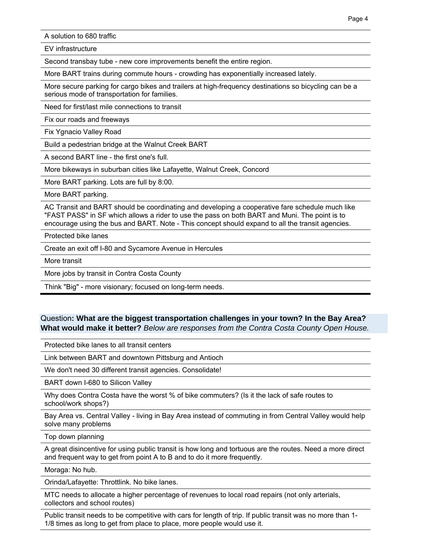A solution to 680 traffic

EV infrastructure

Second transbay tube - new core improvements benefit the entire region.

More BART trains during commute hours - crowding has exponentially increased lately.

More secure parking for cargo bikes and trailers at high-frequency destinations so bicycling can be a serious mode of transportation for families.

Need for first/last mile connections to transit

Fix our roads and freeways

Fix Ygnacio Valley Road

Build a pedestrian bridge at the Walnut Creek BART

A second BART line - the first one's full.

More bikeways in suburban cities like Lafayette, Walnut Creek, Concord

More BART parking. Lots are full by 8:00.

More BART parking.

AC Transit and BART should be coordinating and developing a cooperative fare schedule much like "FAST PASS" in SF which allows a rider to use the pass on both BART and Muni. The point is to encourage using the bus and BART. Note - This concept should expand to all the transit agencies.

Protected bike lanes

Create an exit off I-80 and Sycamore Avenue in Hercules

More transit

More jobs by transit in Contra Costa County

Think "Big" - more visionary; focused on long-term needs.

#### Question**: What are the biggest transportation challenges in your town? In the Bay Area? What would make it better?** *Below are responses from the Contra Costa County Open House.*

Protected bike lanes to all transit centers

Link between BART and downtown Pittsburg and Antioch

We don't need 30 different transit agencies. Consolidate!

BART down I-680 to Silicon Valley

Why does Contra Costa have the worst % of bike commuters? (Is it the lack of safe routes to school/work shops?)

Bay Area vs. Central Valley - living in Bay Area instead of commuting in from Central Valley would help solve many problems

Top down planning

A great disincentive for using public transit is how long and tortuous are the routes. Need a more direct and frequent way to get from point A to B and to do it more frequently.

Moraga: No hub.

Orinda/Lafayette: Throttlink. No bike lanes.

MTC needs to allocate a higher percentage of revenues to local road repairs (not only arterials, collectors and school routes)

Public transit needs to be competitive with cars for length of trip. If public transit was no more than 1- 1/8 times as long to get from place to place, more people would use it.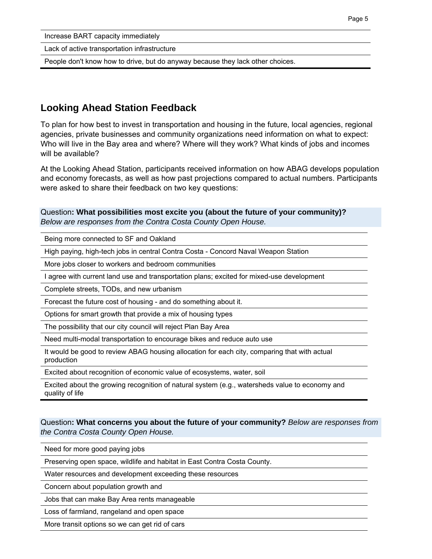Increase BART capacity immediately

Lack of active transportation infrastructure

People don't know how to drive, but do anyway because they lack other choices.

## **Looking Ahead Station Feedback**

To plan for how best to invest in transportation and housing in the future, local agencies, regional agencies, private businesses and community organizations need information on what to expect: Who will live in the Bay area and where? Where will they work? What kinds of jobs and incomes will be available?

At the Looking Ahead Station, participants received information on how ABAG develops population and economy forecasts, as well as how past projections compared to actual numbers. Participants were asked to share their feedback on two key questions:

Question**: What possibilities most excite you (about the future of your community)?**  *Below are responses from the Contra Costa County Open House.*

Being more connected to SF and Oakland

High paying, high-tech jobs in central Contra Costa - Concord Naval Weapon Station

More jobs closer to workers and bedroom communities

I agree with current land use and transportation plans; excited for mixed-use development

Complete streets, TODs, and new urbanism

Forecast the future cost of housing - and do something about it.

Options for smart growth that provide a mix of housing types

The possibility that our city council will reject Plan Bay Area

Need multi-modal transportation to encourage bikes and reduce auto use

It would be good to review ABAG housing allocation for each city, comparing that with actual production

Excited about recognition of economic value of ecosystems, water, soil

Excited about the growing recognition of natural system (e.g., watersheds value to economy and quality of life

### Question**: What concerns you about the future of your community?** *Below are responses from the Contra Costa County Open House.*

Need for more good paying jobs

Preserving open space, wildlife and habitat in East Contra Costa County.

Water resources and development exceeding these resources

Concern about population growth and

Jobs that can make Bay Area rents manageable

Loss of farmland, rangeland and open space

More transit options so we can get rid of cars